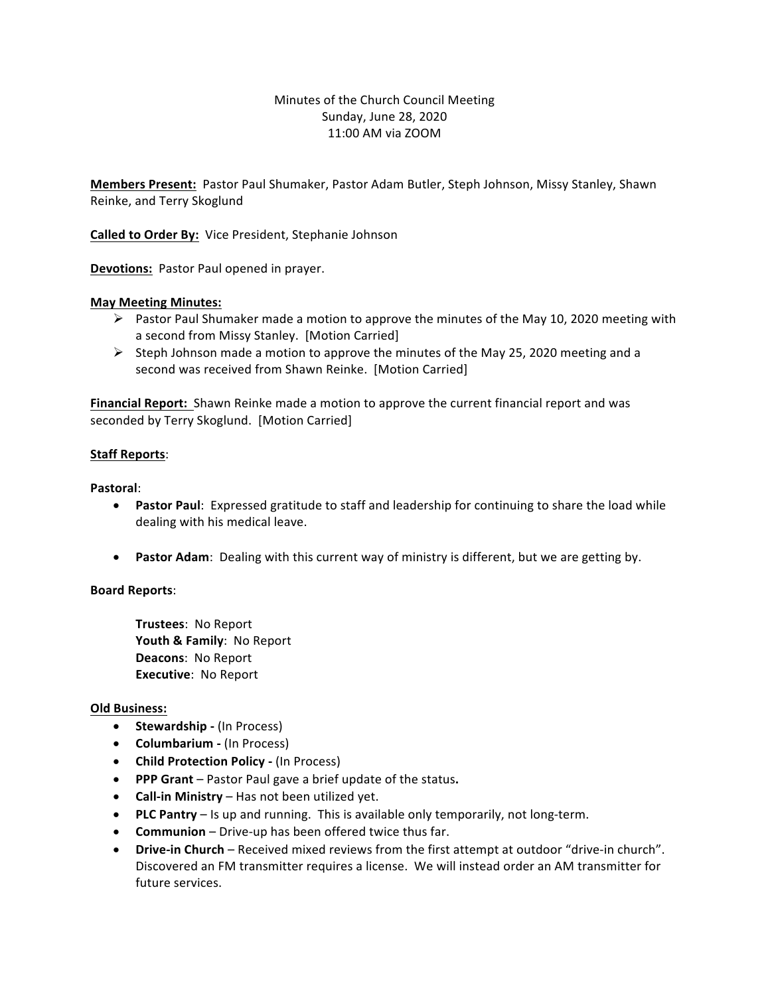### Minutes of the Church Council Meeting Sunday, June 28, 2020 11:00 AM via ZOOM

**Members Present:** Pastor Paul Shumaker, Pastor Adam Butler, Steph Johnson, Missy Stanley, Shawn Reinke, and Terry Skoglund

**Called to Order By:** Vice President, Stephanie Johnson

**Devotions:** Pastor Paul opened in prayer.

### **May Meeting Minutes:**

- $\triangleright$  Pastor Paul Shumaker made a motion to approve the minutes of the May 10, 2020 meeting with a second from Missy Stanley. [Motion Carried]
- $\triangleright$  Steph Johnson made a motion to approve the minutes of the May 25, 2020 meeting and a second was received from Shawn Reinke. [Motion Carried]

**Financial Report:** Shawn Reinke made a motion to approve the current financial report and was seconded by Terry Skoglund. [Motion Carried]

#### **Staff Reports:**

**Pastoral**:

- Pastor Paul: Expressed gratitude to staff and leadership for continuing to share the load while dealing with his medical leave.
- **Pastor Adam**: Dealing with this current way of ministry is different, but we are getting by.

### **Board Reports**:

**Trustees: No Report** Youth & Family: No Report **Deacons: No Report Executive: No Report** 

#### **Old Business:**

- **Stewardship** (In Process)
- **Columbarium** (In Process)
- **Child Protection Policy (In Process)**
- **PPP Grant** Pastor Paul gave a brief update of the status.
- **Call-in Ministry** Has not been utilized yet.
- PLC Pantry Is up and running. This is available only temporarily, not long-term.
- **Communion** Drive-up has been offered twice thus far.
- Drive-in Church Received mixed reviews from the first attempt at outdoor "drive-in church". Discovered an FM transmitter requires a license. We will instead order an AM transmitter for future services.